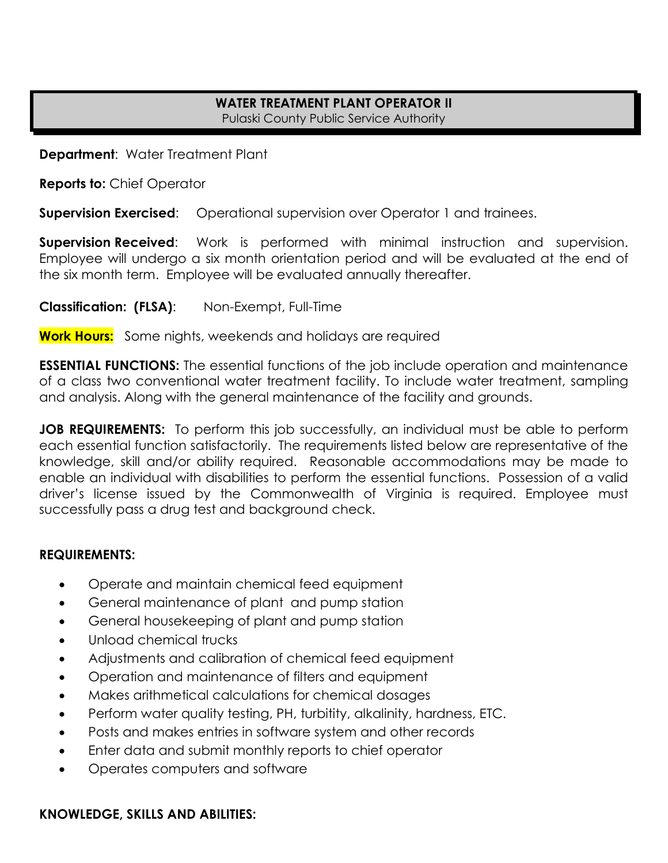#### **WATER TREATMENT PLANT OPERATOR II**  Pulaski County Public Service Authority

**Department**: Water Treatment Plant

**Reports to:** Chief Operator

**Supervision Exercised:** Operational supervision over Operator 1 and trainees.

**Supervision Received:** Work is performed with minimal instruction and supervision. Employee will undergo a six month orientation period and will be evaluated at the end of the six month term. Employee will be evaluated annually thereafter.

**Classification: (FLSA)**: Non-Exempt, Full-Time

**Work Hours:** Some nights, weekends and holidays are required

**ESSENTIAL FUNCTIONS:** The essential functions of the job include operation and maintenance of a class two conventional water treatment facility. To include water treatment, sampling and analysis. Along with the general maintenance of the facility and grounds.

**JOB REQUIREMENTS:** To perform this job successfully, an individual must be able to perform each essential function satisfactorily. The requirements listed below are representative of the knowledge, skill and/or ability required. Reasonable accommodations may be made to enable an individual with disabilities to perform the essential functions. Possession of a valid driver's license issued by the Commonwealth of Virginia is required. Employee must successfully pass a drug test and background check.

## **REQUIREMENTS:**

- Operate and maintain chemical feed equipment
- General maintenance of plant and pump station
- General housekeeping of plant and pump station
- Unload chemical trucks
- Adjustments and calibration of chemical feed equipment
- Operation and maintenance of filters and equipment
- Makes arithmetical calculations for chemical dosages
- Perform water quality testing, PH, turbitity, alkalinity, hardness, ETC.
- Posts and makes entries in software system and other records
- Enter data and submit monthly reports to chief operator
- Operates computers and software

# **KNOWLEDGE, SKILLS AND ABILITIES:**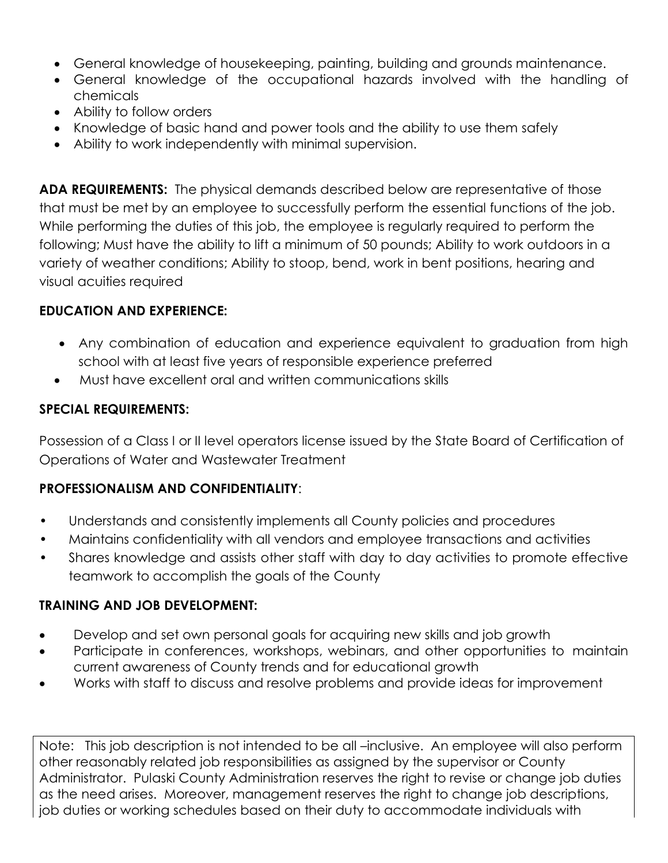- General knowledge of housekeeping, painting, building and grounds maintenance.
- General knowledge of the occupational hazards involved with the handling of chemicals
- Ability to follow orders
- Knowledge of basic hand and power tools and the ability to use them safely
- Ability to work independently with minimal supervision.

**ADA REQUIREMENTS:** The physical demands described below are representative of those that must be met by an employee to successfully perform the essential functions of the job. While performing the duties of this job, the employee is regularly required to perform the following; Must have the ability to lift a minimum of 50 pounds; Ability to work outdoors in a variety of weather conditions; Ability to stoop, bend, work in bent positions, hearing and visual acuities required

# **EDUCATION AND EXPERIENCE:**

- Any combination of education and experience equivalent to graduation from high school with at least five years of responsible experience preferred
- Must have excellent oral and written communications skills

# **SPECIAL REQUIREMENTS:**

Possession of a Class I or II level operators license issued by the State Board of Certification of Operations of Water and Wastewater Treatment

## **PROFESSIONALISM AND CONFIDENTIALITY**:

- Understands and consistently implements all County policies and procedures
- Maintains confidentiality with all vendors and employee transactions and activities
- Shares knowledge and assists other staff with day to day activities to promote effective teamwork to accomplish the goals of the County

## **TRAINING AND JOB DEVELOPMENT:**

- Develop and set own personal goals for acquiring new skills and job growth
- Participate in conferences, workshops, webinars, and other opportunities to maintain current awareness of County trends and for educational growth
- Works with staff to discuss and resolve problems and provide ideas for improvement

Note: This job description is not intended to be all –inclusive. An employee will also perform other reasonably related job responsibilities as assigned by the supervisor or County Administrator. Pulaski County Administration reserves the right to revise or change job duties as the need arises. Moreover, management reserves the right to change job descriptions, job duties or working schedules based on their duty to accommodate individuals with